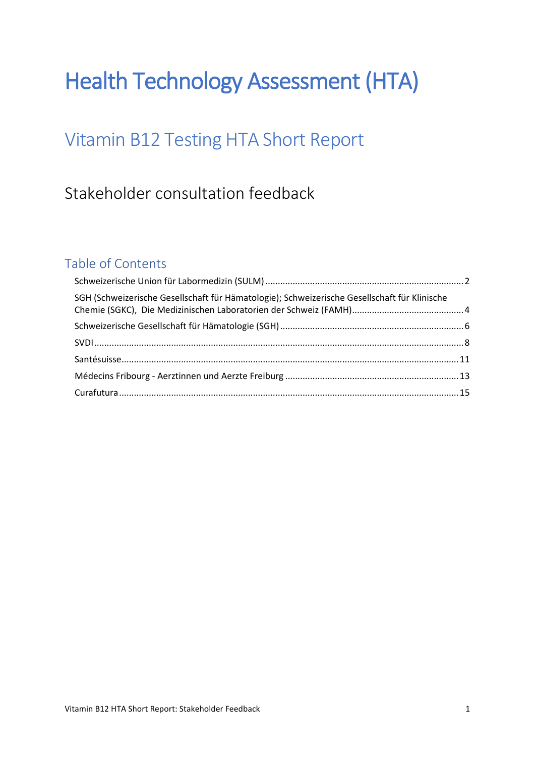# Health Technology Assessment (HTA)

# Vitamin B12 Testing HTA Short Report

## Stakeholder consultation feedback

### Table of Contents

| SGH (Schweizerische Gesellschaft für Hämatologie); Schweizerische Gesellschaft für Klinische |  |
|----------------------------------------------------------------------------------------------|--|
|                                                                                              |  |
|                                                                                              |  |
|                                                                                              |  |
|                                                                                              |  |
|                                                                                              |  |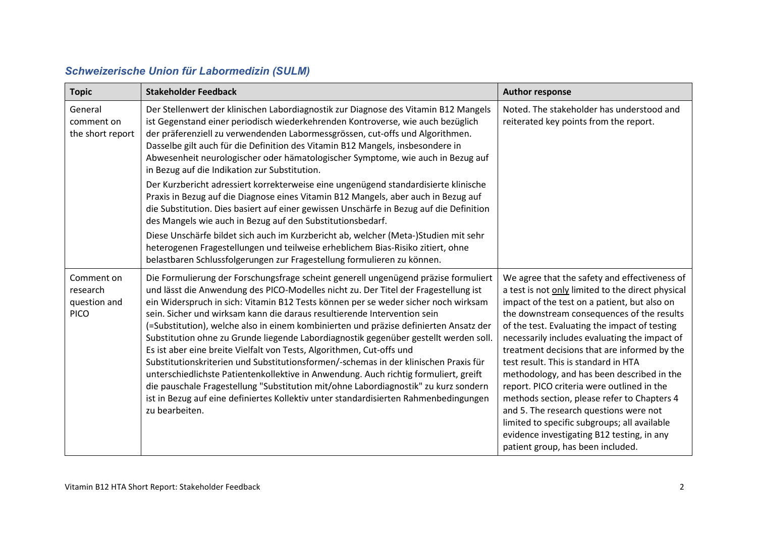| <b>Schweizerische Union für Labormedizin (SULM)</b> |  |  |  |  |
|-----------------------------------------------------|--|--|--|--|
|-----------------------------------------------------|--|--|--|--|

<span id="page-1-0"></span>

| <b>Topic</b>                                          | <b>Stakeholder Feedback</b>                                                                                                                                                                                                                                                                                                                                                                                                                                                                                                                                                                                                                                                                                                                                                                                                                                                                                                                                                             | <b>Author response</b>                                                                                                                                                                                                                                                                                                                                                                                                                                                                                                                                                                                                                                                                                             |
|-------------------------------------------------------|-----------------------------------------------------------------------------------------------------------------------------------------------------------------------------------------------------------------------------------------------------------------------------------------------------------------------------------------------------------------------------------------------------------------------------------------------------------------------------------------------------------------------------------------------------------------------------------------------------------------------------------------------------------------------------------------------------------------------------------------------------------------------------------------------------------------------------------------------------------------------------------------------------------------------------------------------------------------------------------------|--------------------------------------------------------------------------------------------------------------------------------------------------------------------------------------------------------------------------------------------------------------------------------------------------------------------------------------------------------------------------------------------------------------------------------------------------------------------------------------------------------------------------------------------------------------------------------------------------------------------------------------------------------------------------------------------------------------------|
| General<br>comment on<br>the short report             | Der Stellenwert der klinischen Labordiagnostik zur Diagnose des Vitamin B12 Mangels<br>ist Gegenstand einer periodisch wiederkehrenden Kontroverse, wie auch bezüglich<br>der präferenziell zu verwendenden Labormessgrössen, cut-offs und Algorithmen.<br>Dasselbe gilt auch für die Definition des Vitamin B12 Mangels, insbesondere in<br>Abwesenheit neurologischer oder hämatologischer Symptome, wie auch in Bezug auf<br>in Bezug auf die Indikation zur Substitution.                                                                                                                                                                                                                                                                                                                                                                                                                                                                                                           | Noted. The stakeholder has understood and<br>reiterated key points from the report.                                                                                                                                                                                                                                                                                                                                                                                                                                                                                                                                                                                                                                |
|                                                       | Der Kurzbericht adressiert korrekterweise eine ungenügend standardisierte klinische<br>Praxis in Bezug auf die Diagnose eines Vitamin B12 Mangels, aber auch in Bezug auf<br>die Substitution. Dies basiert auf einer gewissen Unschärfe in Bezug auf die Definition<br>des Mangels wie auch in Bezug auf den Substitutionsbedarf.<br>Diese Unschärfe bildet sich auch im Kurzbericht ab, welcher (Meta-)Studien mit sehr                                                                                                                                                                                                                                                                                                                                                                                                                                                                                                                                                               |                                                                                                                                                                                                                                                                                                                                                                                                                                                                                                                                                                                                                                                                                                                    |
|                                                       | heterogenen Fragestellungen und teilweise erheblichem Bias-Risiko zitiert, ohne<br>belastbaren Schlussfolgerungen zur Fragestellung formulieren zu können.                                                                                                                                                                                                                                                                                                                                                                                                                                                                                                                                                                                                                                                                                                                                                                                                                              |                                                                                                                                                                                                                                                                                                                                                                                                                                                                                                                                                                                                                                                                                                                    |
| Comment on<br>research<br>question and<br><b>PICO</b> | Die Formulierung der Forschungsfrage scheint generell ungenügend präzise formuliert<br>und lässt die Anwendung des PICO-Modelles nicht zu. Der Titel der Fragestellung ist<br>ein Widerspruch in sich: Vitamin B12 Tests können per se weder sicher noch wirksam<br>sein. Sicher und wirksam kann die daraus resultierende Intervention sein<br>(=Substitution), welche also in einem kombinierten und präzise definierten Ansatz der<br>Substitution ohne zu Grunde liegende Labordiagnostik gegenüber gestellt werden soll.<br>Es ist aber eine breite Vielfalt von Tests, Algorithmen, Cut-offs und<br>Substitutionskriterien und Substitutionsformen/-schemas in der klinischen Praxis für<br>unterschiedlichste Patientenkollektive in Anwendung. Auch richtig formuliert, greift<br>die pauschale Fragestellung "Substitution mit/ohne Labordiagnostik" zu kurz sondern<br>ist in Bezug auf eine definiertes Kollektiv unter standardisierten Rahmenbedingungen<br>zu bearbeiten. | We agree that the safety and effectiveness of<br>a test is not only limited to the direct physical<br>impact of the test on a patient, but also on<br>the downstream consequences of the results<br>of the test. Evaluating the impact of testing<br>necessarily includes evaluating the impact of<br>treatment decisions that are informed by the<br>test result. This is standard in HTA<br>methodology, and has been described in the<br>report. PICO criteria were outlined in the<br>methods section, please refer to Chapters 4<br>and 5. The research questions were not<br>limited to specific subgroups; all available<br>evidence investigating B12 testing, in any<br>patient group, has been included. |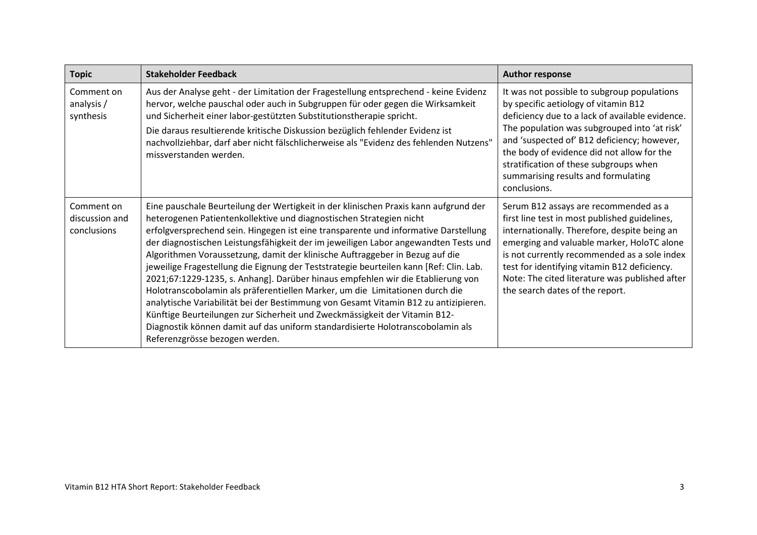| <b>Topic</b>                                | <b>Stakeholder Feedback</b>                                                                                                                                                                                                                                                                                                                                                                                                                                                                                                                                                                                                                                                                                                                                                                                                                                                                                                                                                     | <b>Author response</b>                                                                                                                                                                                                                                                                                                                                                               |
|---------------------------------------------|---------------------------------------------------------------------------------------------------------------------------------------------------------------------------------------------------------------------------------------------------------------------------------------------------------------------------------------------------------------------------------------------------------------------------------------------------------------------------------------------------------------------------------------------------------------------------------------------------------------------------------------------------------------------------------------------------------------------------------------------------------------------------------------------------------------------------------------------------------------------------------------------------------------------------------------------------------------------------------|--------------------------------------------------------------------------------------------------------------------------------------------------------------------------------------------------------------------------------------------------------------------------------------------------------------------------------------------------------------------------------------|
| Comment on<br>analysis /<br>synthesis       | Aus der Analyse geht - der Limitation der Fragestellung entsprechend - keine Evidenz<br>hervor, welche pauschal oder auch in Subgruppen für oder gegen die Wirksamkeit<br>und Sicherheit einer labor-gestützten Substitutionstherapie spricht.<br>Die daraus resultierende kritische Diskussion bezüglich fehlender Evidenz ist<br>nachvollziehbar, darf aber nicht fälschlicherweise als "Evidenz des fehlenden Nutzens"<br>missverstanden werden.                                                                                                                                                                                                                                                                                                                                                                                                                                                                                                                             | It was not possible to subgroup populations<br>by specific aetiology of vitamin B12<br>deficiency due to a lack of available evidence.<br>The population was subgrouped into 'at risk'<br>and 'suspected of' B12 deficiency; however,<br>the body of evidence did not allow for the<br>stratification of these subgroups when<br>summarising results and formulating<br>conclusions. |
| Comment on<br>discussion and<br>conclusions | Eine pauschale Beurteilung der Wertigkeit in der klinischen Praxis kann aufgrund der<br>heterogenen Patientenkollektive und diagnostischen Strategien nicht<br>erfolgversprechend sein. Hingegen ist eine transparente und informative Darstellung<br>der diagnostischen Leistungsfähigkeit der im jeweiligen Labor angewandten Tests und<br>Algorithmen Voraussetzung, damit der klinische Auftraggeber in Bezug auf die<br>jeweilige Fragestellung die Eignung der Teststrategie beurteilen kann [Ref: Clin. Lab.<br>2021;67:1229-1235, s. Anhang]. Darüber hinaus empfehlen wir die Etablierung von<br>Holotranscobolamin als präferentiellen Marker, um die Limitationen durch die<br>analytische Variabilität bei der Bestimmung von Gesamt Vitamin B12 zu antizipieren.<br>Künftige Beurteilungen zur Sicherheit und Zweckmässigkeit der Vitamin B12-<br>Diagnostik können damit auf das uniform standardisierte Holotranscobolamin als<br>Referenzgrösse bezogen werden. | Serum B12 assays are recommended as a<br>first line test in most published guidelines,<br>internationally. Therefore, despite being an<br>emerging and valuable marker, HoloTC alone<br>is not currently recommended as a sole index<br>test for identifying vitamin B12 deficiency.<br>Note: The cited literature was published after<br>the search dates of the report.            |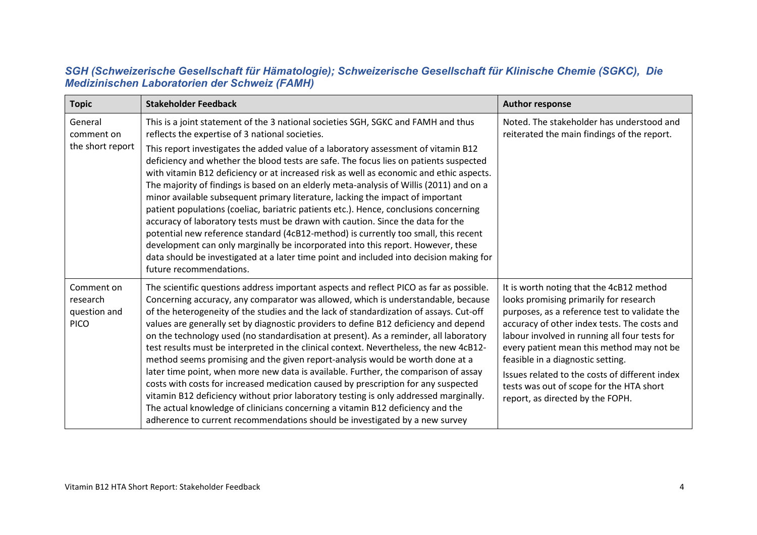#### *SGH (Schweizerische Gesellschaft für Hämatologie); Schweizerische Gesellschaft für Klinische Chemie (SGKC), Die Medizinischen Laboratorien der Schweiz (FAMH)*

<span id="page-3-0"></span>

| <b>Topic</b>                                          | <b>Stakeholder Feedback</b>                                                                                                                                                                                                                                                                                                                                                                                                                                                                                                                                                                                                                                                                                                                                                                                                                                                                                                                                                                                                                                               | <b>Author response</b>                                                                                                                                                                                                                                                                                                                                                                                                                                   |
|-------------------------------------------------------|---------------------------------------------------------------------------------------------------------------------------------------------------------------------------------------------------------------------------------------------------------------------------------------------------------------------------------------------------------------------------------------------------------------------------------------------------------------------------------------------------------------------------------------------------------------------------------------------------------------------------------------------------------------------------------------------------------------------------------------------------------------------------------------------------------------------------------------------------------------------------------------------------------------------------------------------------------------------------------------------------------------------------------------------------------------------------|----------------------------------------------------------------------------------------------------------------------------------------------------------------------------------------------------------------------------------------------------------------------------------------------------------------------------------------------------------------------------------------------------------------------------------------------------------|
| General<br>comment on                                 | This is a joint statement of the 3 national societies SGH, SGKC and FAMH and thus<br>reflects the expertise of 3 national societies.                                                                                                                                                                                                                                                                                                                                                                                                                                                                                                                                                                                                                                                                                                                                                                                                                                                                                                                                      | Noted. The stakeholder has understood and<br>reiterated the main findings of the report.                                                                                                                                                                                                                                                                                                                                                                 |
| the short report                                      | This report investigates the added value of a laboratory assessment of vitamin B12<br>deficiency and whether the blood tests are safe. The focus lies on patients suspected<br>with vitamin B12 deficiency or at increased risk as well as economic and ethic aspects.<br>The majority of findings is based on an elderly meta-analysis of Willis (2011) and on a<br>minor available subsequent primary literature, lacking the impact of important<br>patient populations (coeliac, bariatric patients etc.). Hence, conclusions concerning<br>accuracy of laboratory tests must be drawn with caution. Since the data for the<br>potential new reference standard (4cB12-method) is currently too small, this recent<br>development can only marginally be incorporated into this report. However, these<br>data should be investigated at a later time point and included into decision making for<br>future recommendations.                                                                                                                                          |                                                                                                                                                                                                                                                                                                                                                                                                                                                          |
| Comment on<br>research<br>question and<br><b>PICO</b> | The scientific questions address important aspects and reflect PICO as far as possible.<br>Concerning accuracy, any comparator was allowed, which is understandable, because<br>of the heterogeneity of the studies and the lack of standardization of assays. Cut-off<br>values are generally set by diagnostic providers to define B12 deficiency and depend<br>on the technology used (no standardisation at present). As a reminder, all laboratory<br>test results must be interpreted in the clinical context. Nevertheless, the new 4cB12-<br>method seems promising and the given report-analysis would be worth done at a<br>later time point, when more new data is available. Further, the comparison of assay<br>costs with costs for increased medication caused by prescription for any suspected<br>vitamin B12 deficiency without prior laboratory testing is only addressed marginally.<br>The actual knowledge of clinicians concerning a vitamin B12 deficiency and the<br>adherence to current recommendations should be investigated by a new survey | It is worth noting that the 4cB12 method<br>looks promising primarily for research<br>purposes, as a reference test to validate the<br>accuracy of other index tests. The costs and<br>labour involved in running all four tests for<br>every patient mean this method may not be<br>feasible in a diagnostic setting.<br>Issues related to the costs of different index<br>tests was out of scope for the HTA short<br>report, as directed by the FOPH. |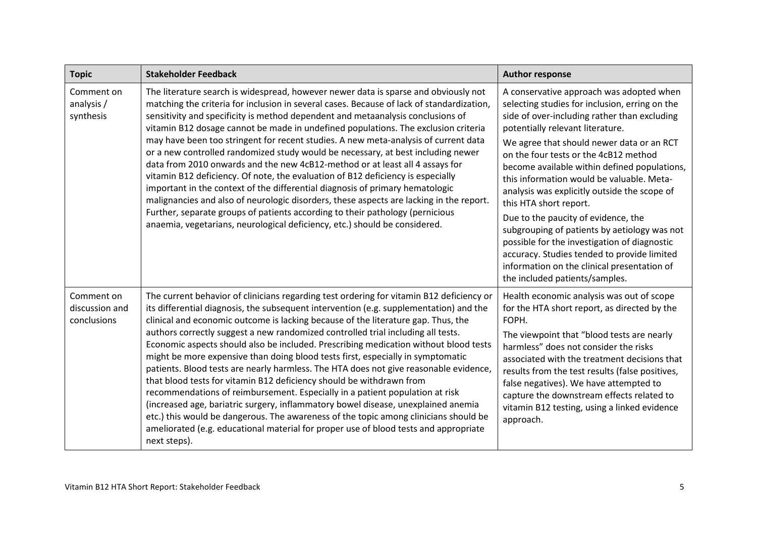| <b>Topic</b>                                | <b>Stakeholder Feedback</b>                                                                                                                                                                                                                                                                                                                                                                                                                                                                                                                                                                                                                                                                                                                                                                                                                                                                                                                                                                                                                                                  | <b>Author response</b>                                                                                                                                                                                                                                                                                                                                                                                                                                                                                                                                                                                                                                                                                             |
|---------------------------------------------|------------------------------------------------------------------------------------------------------------------------------------------------------------------------------------------------------------------------------------------------------------------------------------------------------------------------------------------------------------------------------------------------------------------------------------------------------------------------------------------------------------------------------------------------------------------------------------------------------------------------------------------------------------------------------------------------------------------------------------------------------------------------------------------------------------------------------------------------------------------------------------------------------------------------------------------------------------------------------------------------------------------------------------------------------------------------------|--------------------------------------------------------------------------------------------------------------------------------------------------------------------------------------------------------------------------------------------------------------------------------------------------------------------------------------------------------------------------------------------------------------------------------------------------------------------------------------------------------------------------------------------------------------------------------------------------------------------------------------------------------------------------------------------------------------------|
| Comment on<br>analysis /<br>synthesis       | The literature search is widespread, however newer data is sparse and obviously not<br>matching the criteria for inclusion in several cases. Because of lack of standardization,<br>sensitivity and specificity is method dependent and metaanalysis conclusions of<br>vitamin B12 dosage cannot be made in undefined populations. The exclusion criteria<br>may have been too stringent for recent studies. A new meta-analysis of current data<br>or a new controlled randomized study would be necessary, at best including newer<br>data from 2010 onwards and the new 4cB12-method or at least all 4 assays for<br>vitamin B12 deficiency. Of note, the evaluation of B12 deficiency is especially<br>important in the context of the differential diagnosis of primary hematologic<br>malignancies and also of neurologic disorders, these aspects are lacking in the report.<br>Further, separate groups of patients according to their pathology (pernicious<br>anaemia, vegetarians, neurological deficiency, etc.) should be considered.                           | A conservative approach was adopted when<br>selecting studies for inclusion, erring on the<br>side of over-including rather than excluding<br>potentially relevant literature.<br>We agree that should newer data or an RCT<br>on the four tests or the 4cB12 method<br>become available within defined populations,<br>this information would be valuable. Meta-<br>analysis was explicitly outside the scope of<br>this HTA short report.<br>Due to the paucity of evidence, the<br>subgrouping of patients by aetiology was not<br>possible for the investigation of diagnostic<br>accuracy. Studies tended to provide limited<br>information on the clinical presentation of<br>the included patients/samples. |
| Comment on<br>discussion and<br>conclusions | The current behavior of clinicians regarding test ordering for vitamin B12 deficiency or<br>its differential diagnosis, the subsequent intervention (e.g. supplementation) and the<br>clinical and economic outcome is lacking because of the literature gap. Thus, the<br>authors correctly suggest a new randomized controlled trial including all tests.<br>Economic aspects should also be included. Prescribing medication without blood tests<br>might be more expensive than doing blood tests first, especially in symptomatic<br>patients. Blood tests are nearly harmless. The HTA does not give reasonable evidence,<br>that blood tests for vitamin B12 deficiency should be withdrawn from<br>recommendations of reimbursement. Especially in a patient population at risk<br>(increased age, bariatric surgery, inflammatory bowel disease, unexplained anemia<br>etc.) this would be dangerous. The awareness of the topic among clinicians should be<br>ameliorated (e.g. educational material for proper use of blood tests and appropriate<br>next steps). | Health economic analysis was out of scope<br>for the HTA short report, as directed by the<br>FOPH.<br>The viewpoint that "blood tests are nearly<br>harmless" does not consider the risks<br>associated with the treatment decisions that<br>results from the test results (false positives,<br>false negatives). We have attempted to<br>capture the downstream effects related to<br>vitamin B12 testing, using a linked evidence<br>approach.                                                                                                                                                                                                                                                                   |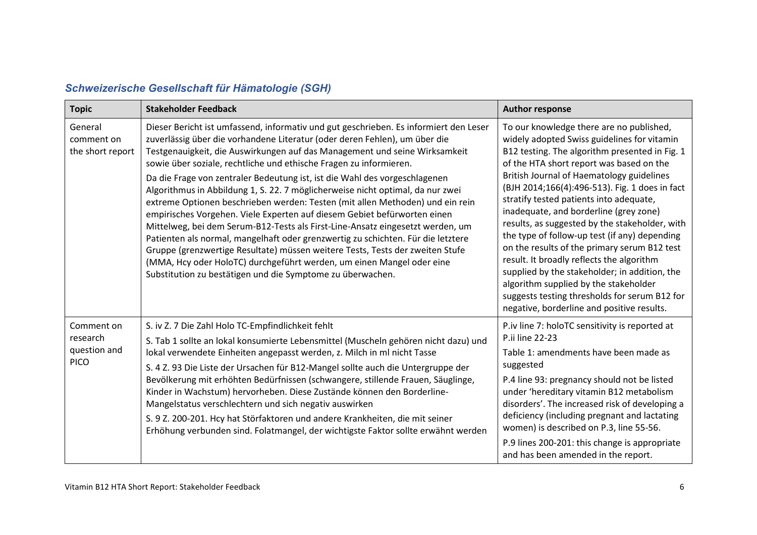<span id="page-5-0"></span>

| <b>Topic</b>                                          | <b>Stakeholder Feedback</b>                                                                                                                                                                                                                                                                                                                                                                                                                                                                                                                                                                                                                                                                                                                                                                                                                                                                                                                                                                                                                        | <b>Author response</b>                                                                                                                                                                                                                                                                                                                                                                                                                                                                                                                                                                                                                                                                                                                                             |
|-------------------------------------------------------|----------------------------------------------------------------------------------------------------------------------------------------------------------------------------------------------------------------------------------------------------------------------------------------------------------------------------------------------------------------------------------------------------------------------------------------------------------------------------------------------------------------------------------------------------------------------------------------------------------------------------------------------------------------------------------------------------------------------------------------------------------------------------------------------------------------------------------------------------------------------------------------------------------------------------------------------------------------------------------------------------------------------------------------------------|--------------------------------------------------------------------------------------------------------------------------------------------------------------------------------------------------------------------------------------------------------------------------------------------------------------------------------------------------------------------------------------------------------------------------------------------------------------------------------------------------------------------------------------------------------------------------------------------------------------------------------------------------------------------------------------------------------------------------------------------------------------------|
| General<br>comment on<br>the short report             | Dieser Bericht ist umfassend, informativ und gut geschrieben. Es informiert den Leser<br>zuverlässig über die vorhandene Literatur (oder deren Fehlen), um über die<br>Testgenauigkeit, die Auswirkungen auf das Management und seine Wirksamkeit<br>sowie über soziale, rechtliche und ethische Fragen zu informieren.<br>Da die Frage von zentraler Bedeutung ist, ist die Wahl des vorgeschlagenen<br>Algorithmus in Abbildung 1, S. 22. 7 möglicherweise nicht optimal, da nur zwei<br>extreme Optionen beschrieben werden: Testen (mit allen Methoden) und ein rein<br>empirisches Vorgehen. Viele Experten auf diesem Gebiet befürworten einen<br>Mittelweg, bei dem Serum-B12-Tests als First-Line-Ansatz eingesetzt werden, um<br>Patienten als normal, mangelhaft oder grenzwertig zu schichten. Für die letztere<br>Gruppe (grenzwertige Resultate) müssen weitere Tests, Tests der zweiten Stufe<br>(MMA, Hcy oder HoloTC) durchgeführt werden, um einen Mangel oder eine<br>Substitution zu bestätigen und die Symptome zu überwachen. | To our knowledge there are no published,<br>widely adopted Swiss guidelines for vitamin<br>B12 testing. The algorithm presented in Fig. 1<br>of the HTA short report was based on the<br>British Journal of Haematology guidelines<br>(BJH 2014;166(4):496-513). Fig. 1 does in fact<br>stratify tested patients into adequate,<br>inadequate, and borderline (grey zone)<br>results, as suggested by the stakeholder, with<br>the type of follow-up test (if any) depending<br>on the results of the primary serum B12 test<br>result. It broadly reflects the algorithm<br>supplied by the stakeholder; in addition, the<br>algorithm supplied by the stakeholder<br>suggests testing thresholds for serum B12 for<br>negative, borderline and positive results. |
| Comment on<br>research<br>question and<br><b>PICO</b> | S. iv Z. 7 Die Zahl Holo TC-Empfindlichkeit fehlt<br>S. Tab 1 sollte an lokal konsumierte Lebensmittel (Muscheln gehören nicht dazu) und<br>lokal verwendete Einheiten angepasst werden, z. Milch in ml nicht Tasse<br>S. 4 Z. 93 Die Liste der Ursachen für B12-Mangel sollte auch die Untergruppe der<br>Bevölkerung mit erhöhten Bedürfnissen (schwangere, stillende Frauen, Säuglinge,<br>Kinder in Wachstum) hervorheben. Diese Zustände können den Borderline-<br>Mangelstatus verschlechtern und sich negativ auswirken<br>S. 9 Z. 200-201. Hcy hat Störfaktoren und andere Krankheiten, die mit seiner<br>Erhöhung verbunden sind. Folatmangel, der wichtigste Faktor sollte erwähnt werden                                                                                                                                                                                                                                                                                                                                                | P.iv line 7: holoTC sensitivity is reported at<br>P.ii line 22-23<br>Table 1: amendments have been made as<br>suggested<br>P.4 line 93: pregnancy should not be listed<br>under 'hereditary vitamin B12 metabolism<br>disorders'. The increased risk of developing a<br>deficiency (including pregnant and lactating<br>women) is described on P.3, line 55-56.<br>P.9 lines 200-201: this change is appropriate<br>and has been amended in the report.                                                                                                                                                                                                                                                                                                            |

#### *Schweizerische Gesellschaft für Hämatologie (SGH)*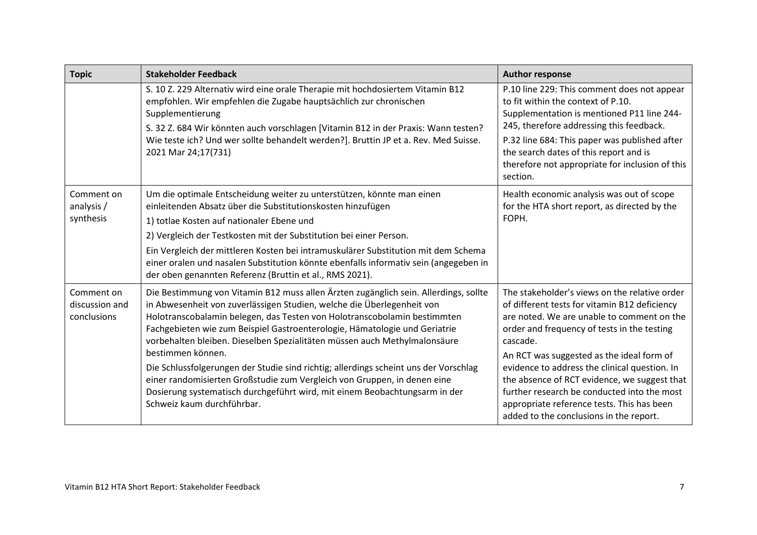| <b>Topic</b>                                | <b>Stakeholder Feedback</b>                                                                                                                                                                                                                                                                                                                                                                                                                                                                                                                                                                                                                                                                                | <b>Author response</b>                                                                                                                                                                                                                                                                                                                                                                                                                                                                        |
|---------------------------------------------|------------------------------------------------------------------------------------------------------------------------------------------------------------------------------------------------------------------------------------------------------------------------------------------------------------------------------------------------------------------------------------------------------------------------------------------------------------------------------------------------------------------------------------------------------------------------------------------------------------------------------------------------------------------------------------------------------------|-----------------------------------------------------------------------------------------------------------------------------------------------------------------------------------------------------------------------------------------------------------------------------------------------------------------------------------------------------------------------------------------------------------------------------------------------------------------------------------------------|
|                                             | S. 10 Z. 229 Alternativ wird eine orale Therapie mit hochdosiertem Vitamin B12<br>empfohlen. Wir empfehlen die Zugabe hauptsächlich zur chronischen<br>Supplementierung<br>S. 32 Z. 684 Wir könnten auch vorschlagen [Vitamin B12 in der Praxis: Wann testen?<br>Wie teste ich? Und wer sollte behandelt werden?]. Bruttin JP et a. Rev. Med Suisse.<br>2021 Mar 24;17(731)                                                                                                                                                                                                                                                                                                                                | P.10 line 229: This comment does not appear<br>to fit within the context of P.10.<br>Supplementation is mentioned P11 line 244-<br>245, therefore addressing this feedback.<br>P.32 line 684: This paper was published after<br>the search dates of this report and is<br>therefore not appropriate for inclusion of this<br>section.                                                                                                                                                         |
| Comment on<br>analysis/<br>synthesis        | Um die optimale Entscheidung weiter zu unterstützen, könnte man einen<br>einleitenden Absatz über die Substitutionskosten hinzufügen<br>1) totlae Kosten auf nationaler Ebene und<br>2) Vergleich der Testkosten mit der Substitution bei einer Person.<br>Ein Vergleich der mittleren Kosten bei intramuskulärer Substitution mit dem Schema<br>einer oralen und nasalen Substitution könnte ebenfalls informativ sein (angegeben in<br>der oben genannten Referenz (Bruttin et al., RMS 2021).                                                                                                                                                                                                           | Health economic analysis was out of scope<br>for the HTA short report, as directed by the<br>FOPH.                                                                                                                                                                                                                                                                                                                                                                                            |
| Comment on<br>discussion and<br>conclusions | Die Bestimmung von Vitamin B12 muss allen Ärzten zugänglich sein. Allerdings, sollte<br>in Abwesenheit von zuverlässigen Studien, welche die Überlegenheit von<br>Holotranscobalamin belegen, das Testen von Holotranscobolamin bestimmten<br>Fachgebieten wie zum Beispiel Gastroenterologie, Hämatologie und Geriatrie<br>vorbehalten bleiben. Dieselben Spezialitäten müssen auch Methylmalonsäure<br>bestimmen können.<br>Die Schlussfolgerungen der Studie sind richtig; allerdings scheint uns der Vorschlag<br>einer randomisierten Großstudie zum Vergleich von Gruppen, in denen eine<br>Dosierung systematisch durchgeführt wird, mit einem Beobachtungsarm in der<br>Schweiz kaum durchführbar. | The stakeholder's views on the relative order<br>of different tests for vitamin B12 deficiency<br>are noted. We are unable to comment on the<br>order and frequency of tests in the testing<br>cascade.<br>An RCT was suggested as the ideal form of<br>evidence to address the clinical question. In<br>the absence of RCT evidence, we suggest that<br>further research be conducted into the most<br>appropriate reference tests. This has been<br>added to the conclusions in the report. |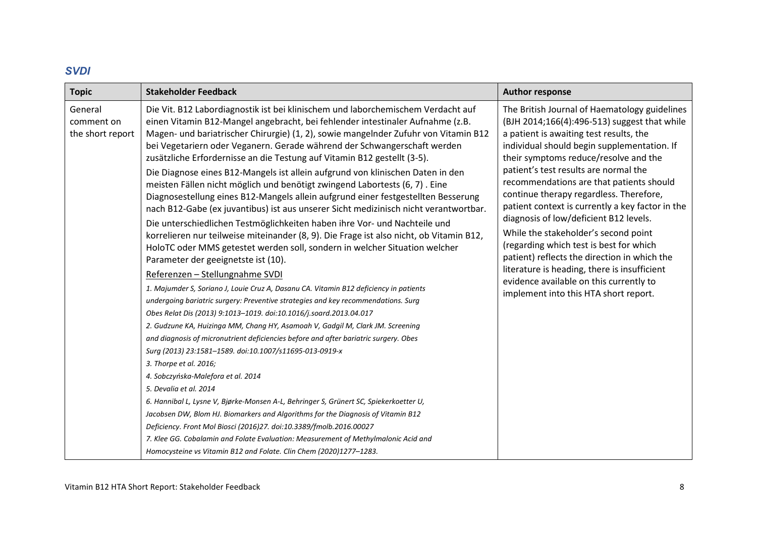#### *SVDI*

<span id="page-7-0"></span>

| <b>Topic</b>                              | <b>Stakeholder Feedback</b>                                                                                                                                                                                                                                                                                                                                                                                                                                                                                                                                                                                                                                                                                                                                                                                                                                                                                                                                                                                                                                                                                                                                                                                                                                                                                                                                                                                                                                                                                                                                                                                                                                                                                                                                                                                                                                                                                                                                                                                                                                                                       | <b>Author response</b>                                                                                                                                                                                                                                                                                                                                                                                                                                                                                                                                                                                                                                                                                                                |
|-------------------------------------------|---------------------------------------------------------------------------------------------------------------------------------------------------------------------------------------------------------------------------------------------------------------------------------------------------------------------------------------------------------------------------------------------------------------------------------------------------------------------------------------------------------------------------------------------------------------------------------------------------------------------------------------------------------------------------------------------------------------------------------------------------------------------------------------------------------------------------------------------------------------------------------------------------------------------------------------------------------------------------------------------------------------------------------------------------------------------------------------------------------------------------------------------------------------------------------------------------------------------------------------------------------------------------------------------------------------------------------------------------------------------------------------------------------------------------------------------------------------------------------------------------------------------------------------------------------------------------------------------------------------------------------------------------------------------------------------------------------------------------------------------------------------------------------------------------------------------------------------------------------------------------------------------------------------------------------------------------------------------------------------------------------------------------------------------------------------------------------------------------|---------------------------------------------------------------------------------------------------------------------------------------------------------------------------------------------------------------------------------------------------------------------------------------------------------------------------------------------------------------------------------------------------------------------------------------------------------------------------------------------------------------------------------------------------------------------------------------------------------------------------------------------------------------------------------------------------------------------------------------|
| General<br>comment on<br>the short report | Die Vit. B12 Labordiagnostik ist bei klinischem und laborchemischem Verdacht auf<br>einen Vitamin B12-Mangel angebracht, bei fehlender intestinaler Aufnahme (z.B.<br>Magen- und bariatrischer Chirurgie) (1, 2), sowie mangelnder Zufuhr von Vitamin B12<br>bei Vegetariern oder Veganern. Gerade während der Schwangerschaft werden<br>zusätzliche Erfordernisse an die Testung auf Vitamin B12 gestellt (3-5).<br>Die Diagnose eines B12-Mangels ist allein aufgrund von klinischen Daten in den<br>meisten Fällen nicht möglich und benötigt zwingend Labortests (6, 7). Eine<br>Diagnosestellung eines B12-Mangels allein aufgrund einer festgestellten Besserung<br>nach B12-Gabe (ex juvantibus) ist aus unserer Sicht medizinisch nicht verantwortbar.<br>Die unterschiedlichen Testmöglichkeiten haben ihre Vor- und Nachteile und<br>korrelieren nur teilweise miteinander (8, 9). Die Frage ist also nicht, ob Vitamin B12,<br>HoloTC oder MMS getestet werden soll, sondern in welcher Situation welcher<br>Parameter der geeignetste ist (10).<br>Referenzen - Stellungnahme SVDI<br>1. Majumder S, Soriano J, Louie Cruz A, Dasanu CA. Vitamin B12 deficiency in patients<br>undergoing bariatric surgery: Preventive strategies and key recommendations. Surg<br>Obes Relat Dis (2013) 9:1013-1019. doi:10.1016/j.soard.2013.04.017<br>2. Gudzune KA, Huizinga MM, Chang HY, Asamoah V, Gadgil M, Clark JM. Screening<br>and diagnosis of micronutrient deficiencies before and after bariatric surgery. Obes<br>Surg (2013) 23:1581-1589. doi:10.1007/s11695-013-0919-x<br>3. Thorpe et al. 2016;<br>4. Sobczyńska-Malefora et al. 2014<br>5. Devalia et al. 2014<br>6. Hannibal L, Lysne V, Bjørke-Monsen A-L, Behringer S, Grünert SC, Spiekerkoetter U,<br>Jacobsen DW, Blom HJ. Biomarkers and Algorithms for the Diagnosis of Vitamin B12<br>Deficiency. Front Mol Biosci (2016)27. doi:10.3389/fmolb.2016.00027<br>7. Klee GG. Cobalamin and Folate Evaluation: Measurement of Methylmalonic Acid and<br>Homocysteine vs Vitamin B12 and Folate. Clin Chem (2020)1277-1283. | The British Journal of Haematology guidelines<br>(BJH 2014;166(4):496-513) suggest that while<br>a patient is awaiting test results, the<br>individual should begin supplementation. If<br>their symptoms reduce/resolve and the<br>patient's test results are normal the<br>recommendations are that patients should<br>continue therapy regardless. Therefore,<br>patient context is currently a key factor in the<br>diagnosis of low/deficient B12 levels.<br>While the stakeholder's second point<br>(regarding which test is best for which<br>patient) reflects the direction in which the<br>literature is heading, there is insufficient<br>evidence available on this currently to<br>implement into this HTA short report. |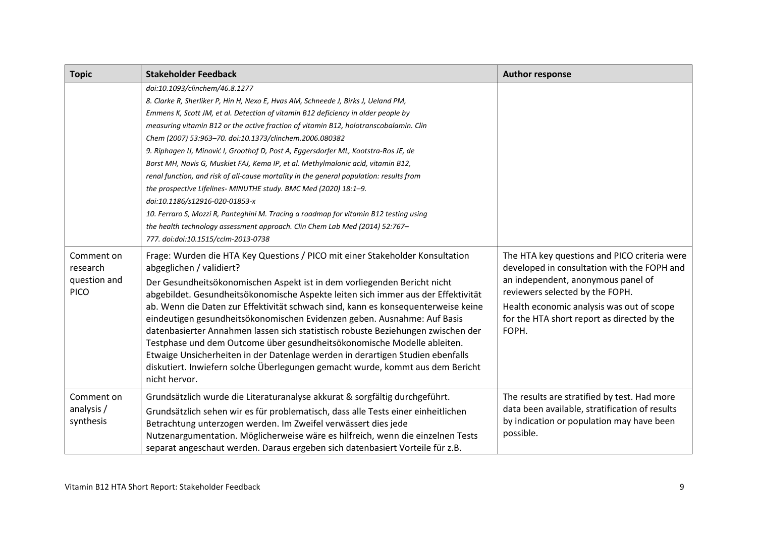| <b>Topic</b>                                          | <b>Stakeholder Feedback</b>                                                                                                                                                                                                                                                                                                                                                                                                                                                                                                                                                                                                                                                                                                                                                                                                                                                                                                                             | <b>Author response</b>                                                                                                                                                                                                                                                    |
|-------------------------------------------------------|---------------------------------------------------------------------------------------------------------------------------------------------------------------------------------------------------------------------------------------------------------------------------------------------------------------------------------------------------------------------------------------------------------------------------------------------------------------------------------------------------------------------------------------------------------------------------------------------------------------------------------------------------------------------------------------------------------------------------------------------------------------------------------------------------------------------------------------------------------------------------------------------------------------------------------------------------------|---------------------------------------------------------------------------------------------------------------------------------------------------------------------------------------------------------------------------------------------------------------------------|
|                                                       | doi:10.1093/clinchem/46.8.1277<br>8. Clarke R, Sherliker P, Hin H, Nexo E, Hvas AM, Schneede J, Birks J, Ueland PM,<br>Emmens K, Scott JM, et al. Detection of vitamin B12 deficiency in older people by<br>measuring vitamin B12 or the active fraction of vitamin B12, holotranscobalamin. Clin<br>Chem (2007) 53:963-70. doi:10.1373/clinchem.2006.080382<br>9. Riphagen IJ, Minović I, Groothof D, Post A, Eggersdorfer ML, Kootstra-Ros JE, de<br>Borst MH, Navis G, Muskiet FAJ, Kema IP, et al. Methylmalonic acid, vitamin B12,<br>renal function, and risk of all-cause mortality in the general population: results from<br>the prospective Lifelines- MINUTHE study. BMC Med (2020) 18:1-9.<br>doi:10.1186/s12916-020-01853-x<br>10. Ferraro S, Mozzi R, Panteghini M. Tracing a roadmap for vitamin B12 testing using<br>the health technology assessment approach. Clin Chem Lab Med (2014) 52:767-<br>777. doi:doi:10.1515/cclm-2013-0738 |                                                                                                                                                                                                                                                                           |
| Comment on<br>research<br>question and<br><b>PICO</b> | Frage: Wurden die HTA Key Questions / PICO mit einer Stakeholder Konsultation<br>abgeglichen / validiert?<br>Der Gesundheitsökonomischen Aspekt ist in dem vorliegenden Bericht nicht<br>abgebildet. Gesundheitsökonomische Aspekte leiten sich immer aus der Effektivität<br>ab. Wenn die Daten zur Effektivität schwach sind, kann es konsequenterweise keine<br>eindeutigen gesundheitsökonomischen Evidenzen geben. Ausnahme: Auf Basis<br>datenbasierter Annahmen lassen sich statistisch robuste Beziehungen zwischen der<br>Testphase und dem Outcome über gesundheitsökonomische Modelle ableiten.<br>Etwaige Unsicherheiten in der Datenlage werden in derartigen Studien ebenfalls<br>diskutiert. Inwiefern solche Überlegungen gemacht wurde, kommt aus dem Bericht<br>nicht hervor.                                                                                                                                                         | The HTA key questions and PICO criteria were<br>developed in consultation with the FOPH and<br>an independent, anonymous panel of<br>reviewers selected by the FOPH.<br>Health economic analysis was out of scope<br>for the HTA short report as directed by the<br>FOPH. |
| Comment on<br>analysis/<br>synthesis                  | Grundsätzlich wurde die Literaturanalyse akkurat & sorgfältig durchgeführt.<br>Grundsätzlich sehen wir es für problematisch, dass alle Tests einer einheitlichen<br>Betrachtung unterzogen werden. Im Zweifel verwässert dies jede<br>Nutzenargumentation. Möglicherweise wäre es hilfreich, wenn die einzelnen Tests<br>separat angeschaut werden. Daraus ergeben sich datenbasiert Vorteile für z.B.                                                                                                                                                                                                                                                                                                                                                                                                                                                                                                                                                  | The results are stratified by test. Had more<br>data been available, stratification of results<br>by indication or population may have been<br>possible.                                                                                                                  |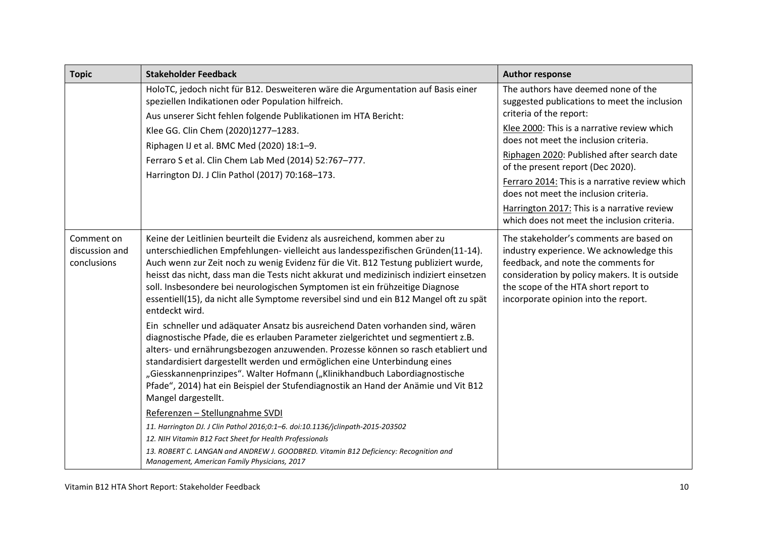| <b>Topic</b>                                | <b>Stakeholder Feedback</b>                                                                                                                                                                                                                                                                                                                                                                                                                                                                                                                 | <b>Author response</b>                                                                                                                                                                                                                                                                                                                                                                                                                                                             |
|---------------------------------------------|---------------------------------------------------------------------------------------------------------------------------------------------------------------------------------------------------------------------------------------------------------------------------------------------------------------------------------------------------------------------------------------------------------------------------------------------------------------------------------------------------------------------------------------------|------------------------------------------------------------------------------------------------------------------------------------------------------------------------------------------------------------------------------------------------------------------------------------------------------------------------------------------------------------------------------------------------------------------------------------------------------------------------------------|
|                                             | HoloTC, jedoch nicht für B12. Desweiteren wäre die Argumentation auf Basis einer<br>speziellen Indikationen oder Population hilfreich.<br>Aus unserer Sicht fehlen folgende Publikationen im HTA Bericht:<br>Klee GG. Clin Chem (2020)1277-1283.<br>Riphagen IJ et al. BMC Med (2020) 18:1-9.<br>Ferraro S et al. Clin Chem Lab Med (2014) 52:767-777.<br>Harrington DJ. J Clin Pathol (2017) 70:168-173.                                                                                                                                   | The authors have deemed none of the<br>suggested publications to meet the inclusion<br>criteria of the report:<br>Klee 2000: This is a narrative review which<br>does not meet the inclusion criteria.<br>Riphagen 2020: Published after search date<br>of the present report (Dec 2020).<br>Ferraro 2014: This is a narrative review which<br>does not meet the inclusion criteria.<br>Harrington 2017: This is a narrative review<br>which does not meet the inclusion criteria. |
| Comment on<br>discussion and<br>conclusions | Keine der Leitlinien beurteilt die Evidenz als ausreichend, kommen aber zu<br>unterschiedlichen Empfehlungen- vielleicht aus landesspezifischen Gründen(11-14).<br>Auch wenn zur Zeit noch zu wenig Evidenz für die Vit. B12 Testung publiziert wurde,<br>heisst das nicht, dass man die Tests nicht akkurat und medizinisch indiziert einsetzen<br>soll. Insbesondere bei neurologischen Symptomen ist ein frühzeitige Diagnose<br>essentiell(15), da nicht alle Symptome reversibel sind und ein B12 Mangel oft zu spät<br>entdeckt wird. | The stakeholder's comments are based on<br>industry experience. We acknowledge this<br>feedback, and note the comments for<br>consideration by policy makers. It is outside<br>the scope of the HTA short report to<br>incorporate opinion into the report.                                                                                                                                                                                                                        |
|                                             | Ein schneller und adäquater Ansatz bis ausreichend Daten vorhanden sind, wären<br>diagnostische Pfade, die es erlauben Parameter zielgerichtet und segmentiert z.B.<br>alters- und ernährungsbezogen anzuwenden. Prozesse können so rasch etabliert und<br>standardisiert dargestellt werden und ermöglichen eine Unterbindung eines<br>"Giesskannenprinzipes". Walter Hofmann ("Klinikhandbuch Labordiagnostische<br>Pfade", 2014) hat ein Beispiel der Stufendiagnostik an Hand der Anämie und Vit B12<br>Mangel dargestellt.             |                                                                                                                                                                                                                                                                                                                                                                                                                                                                                    |
|                                             | Referenzen - Stellungnahme SVDI                                                                                                                                                                                                                                                                                                                                                                                                                                                                                                             |                                                                                                                                                                                                                                                                                                                                                                                                                                                                                    |
|                                             | 11. Harrington DJ. J Clin Pathol 2016;0:1-6. doi:10.1136/jclinpath-2015-203502<br>12. NIH Vitamin B12 Fact Sheet for Health Professionals                                                                                                                                                                                                                                                                                                                                                                                                   |                                                                                                                                                                                                                                                                                                                                                                                                                                                                                    |
|                                             | 13. ROBERT C. LANGAN and ANDREW J. GOODBRED. Vitamin B12 Deficiency: Recognition and<br>Management, American Family Physicians, 2017                                                                                                                                                                                                                                                                                                                                                                                                        |                                                                                                                                                                                                                                                                                                                                                                                                                                                                                    |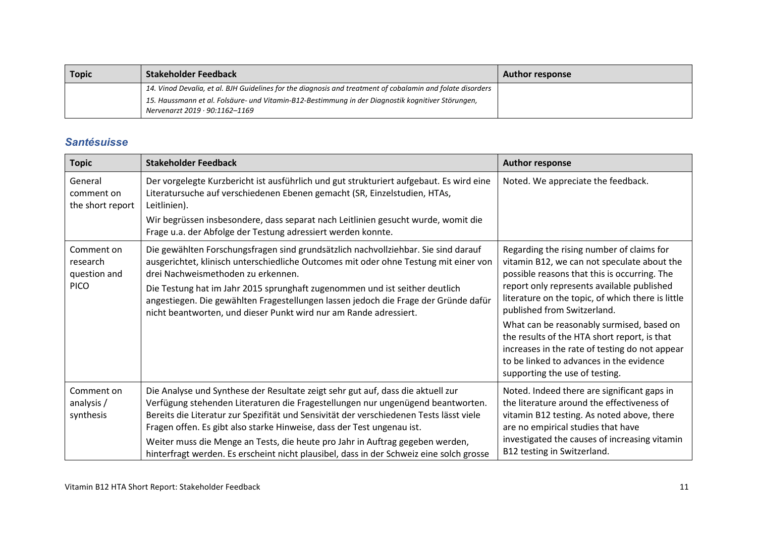| <b>Topic</b> | Stakeholder Feedback                                                                                                                | <b>Author response</b> |
|--------------|-------------------------------------------------------------------------------------------------------------------------------------|------------------------|
|              | 14. Vinod Devalia, et al. BJH Guidelines for the diagnosis and treatment of cobalamin and folate disorders                          |                        |
|              | 15. Haussmann et al. Folsäure- und Vitamin-B12-Bestimmung in der Diagnostik kognitiver Störungen,<br>Nervenarzt 2019 · 90:1162-1169 |                        |

#### *Santésuisse*

<span id="page-10-0"></span>

| <b>Topic</b>                                          | <b>Stakeholder Feedback</b>                                                                                                                                                                                                                                                                                                                                                                                                                                                                                         | <b>Author response</b>                                                                                                                                                                                                                                                                                                                                                                                                                                                                                  |
|-------------------------------------------------------|---------------------------------------------------------------------------------------------------------------------------------------------------------------------------------------------------------------------------------------------------------------------------------------------------------------------------------------------------------------------------------------------------------------------------------------------------------------------------------------------------------------------|---------------------------------------------------------------------------------------------------------------------------------------------------------------------------------------------------------------------------------------------------------------------------------------------------------------------------------------------------------------------------------------------------------------------------------------------------------------------------------------------------------|
| General<br>comment on<br>the short report             | Der vorgelegte Kurzbericht ist ausführlich und gut strukturiert aufgebaut. Es wird eine<br>Literatursuche auf verschiedenen Ebenen gemacht (SR, Einzelstudien, HTAs,<br>Leitlinien).                                                                                                                                                                                                                                                                                                                                | Noted. We appreciate the feedback.                                                                                                                                                                                                                                                                                                                                                                                                                                                                      |
|                                                       | Wir begrüssen insbesondere, dass separat nach Leitlinien gesucht wurde, womit die<br>Frage u.a. der Abfolge der Testung adressiert werden konnte.                                                                                                                                                                                                                                                                                                                                                                   |                                                                                                                                                                                                                                                                                                                                                                                                                                                                                                         |
| Comment on<br>research<br>question and<br><b>PICO</b> | Die gewählten Forschungsfragen sind grundsätzlich nachvollziehbar. Sie sind darauf<br>ausgerichtet, klinisch unterschiedliche Outcomes mit oder ohne Testung mit einer von<br>drei Nachweismethoden zu erkennen.<br>Die Testung hat im Jahr 2015 sprunghaft zugenommen und ist seither deutlich<br>angestiegen. Die gewählten Fragestellungen lassen jedoch die Frage der Gründe dafür<br>nicht beantworten, und dieser Punkt wird nur am Rande adressiert.                                                         | Regarding the rising number of claims for<br>vitamin B12, we can not speculate about the<br>possible reasons that this is occurring. The<br>report only represents available published<br>literature on the topic, of which there is little<br>published from Switzerland.<br>What can be reasonably surmised, based on<br>the results of the HTA short report, is that<br>increases in the rate of testing do not appear<br>to be linked to advances in the evidence<br>supporting the use of testing. |
| Comment on<br>analysis/<br>synthesis                  | Die Analyse und Synthese der Resultate zeigt sehr gut auf, dass die aktuell zur<br>Verfügung stehenden Literaturen die Fragestellungen nur ungenügend beantworten.<br>Bereits die Literatur zur Spezifität und Sensivität der verschiedenen Tests lässt viele<br>Fragen offen. Es gibt also starke Hinweise, dass der Test ungenau ist.<br>Weiter muss die Menge an Tests, die heute pro Jahr in Auftrag gegeben werden,<br>hinterfragt werden. Es erscheint nicht plausibel, dass in der Schweiz eine solch grosse | Noted. Indeed there are significant gaps in<br>the literature around the effectiveness of<br>vitamin B12 testing. As noted above, there<br>are no empirical studies that have<br>investigated the causes of increasing vitamin<br>B12 testing in Switzerland.                                                                                                                                                                                                                                           |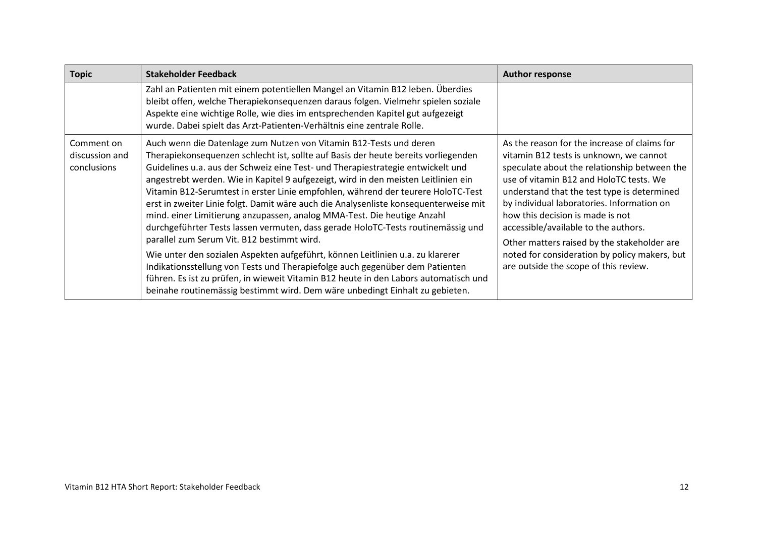| <b>Topic</b>                                       | <b>Stakeholder Feedback</b>                                                                                                                                                                                                                                                                                                                                                                                                                                                                                                                                                                                                                                                                                                                                                                                                                                                                                                                                                                                                                                          | <b>Author response</b>                                                                                                                                                                                                                                                                                                                                                                                                                                                                               |
|----------------------------------------------------|----------------------------------------------------------------------------------------------------------------------------------------------------------------------------------------------------------------------------------------------------------------------------------------------------------------------------------------------------------------------------------------------------------------------------------------------------------------------------------------------------------------------------------------------------------------------------------------------------------------------------------------------------------------------------------------------------------------------------------------------------------------------------------------------------------------------------------------------------------------------------------------------------------------------------------------------------------------------------------------------------------------------------------------------------------------------|------------------------------------------------------------------------------------------------------------------------------------------------------------------------------------------------------------------------------------------------------------------------------------------------------------------------------------------------------------------------------------------------------------------------------------------------------------------------------------------------------|
|                                                    | Zahl an Patienten mit einem potentiellen Mangel an Vitamin B12 leben. Überdies<br>bleibt offen, welche Therapiekonsequenzen daraus folgen. Vielmehr spielen soziale<br>Aspekte eine wichtige Rolle, wie dies im entsprechenden Kapitel gut aufgezeigt<br>wurde. Dabei spielt das Arzt-Patienten-Verhältnis eine zentrale Rolle.                                                                                                                                                                                                                                                                                                                                                                                                                                                                                                                                                                                                                                                                                                                                      |                                                                                                                                                                                                                                                                                                                                                                                                                                                                                                      |
| Comment on<br>discussion and<br><b>conclusions</b> | Auch wenn die Datenlage zum Nutzen von Vitamin B12-Tests und deren<br>Therapiekonsequenzen schlecht ist, sollte auf Basis der heute bereits vorliegenden<br>Guidelines u.a. aus der Schweiz eine Test- und Therapiestrategie entwickelt und<br>angestrebt werden. Wie in Kapitel 9 aufgezeigt, wird in den meisten Leitlinien ein<br>Vitamin B12-Serumtest in erster Linie empfohlen, während der teurere HoloTC-Test<br>erst in zweiter Linie folgt. Damit wäre auch die Analysenliste konsequenterweise mit<br>mind. einer Limitierung anzupassen, analog MMA-Test. Die heutige Anzahl<br>durchgeführter Tests lassen vermuten, dass gerade HoloTC-Tests routinemässig und<br>parallel zum Serum Vit. B12 bestimmt wird.<br>Wie unter den sozialen Aspekten aufgeführt, können Leitlinien u.a. zu klarerer<br>Indikationsstellung von Tests und Therapiefolge auch gegenüber dem Patienten<br>führen. Es ist zu prüfen, in wieweit Vitamin B12 heute in den Labors automatisch und<br>beinahe routinemässig bestimmt wird. Dem wäre unbedingt Einhalt zu gebieten. | As the reason for the increase of claims for<br>vitamin B12 tests is unknown, we cannot<br>speculate about the relationship between the<br>use of vitamin B12 and HoloTC tests. We<br>understand that the test type is determined<br>by individual laboratories. Information on<br>how this decision is made is not<br>accessible/available to the authors.<br>Other matters raised by the stakeholder are<br>noted for consideration by policy makers, but<br>are outside the scope of this review. |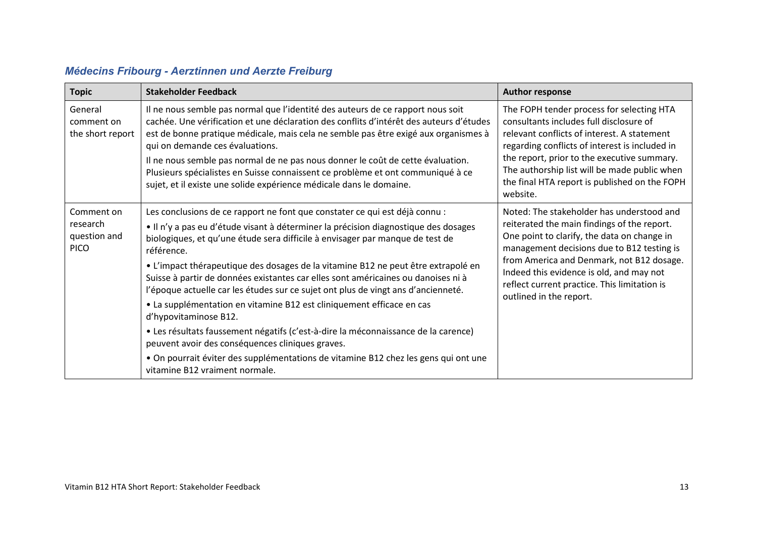<span id="page-12-0"></span>

| <b>Topic</b>                                          | <b>Stakeholder Feedback</b>                                                                                                                                                                                                                                                                                                                                                                                                                                                                                                                                                                                                        | <b>Author response</b>                                                                                                                                                                                                                                                                                                                                    |
|-------------------------------------------------------|------------------------------------------------------------------------------------------------------------------------------------------------------------------------------------------------------------------------------------------------------------------------------------------------------------------------------------------------------------------------------------------------------------------------------------------------------------------------------------------------------------------------------------------------------------------------------------------------------------------------------------|-----------------------------------------------------------------------------------------------------------------------------------------------------------------------------------------------------------------------------------------------------------------------------------------------------------------------------------------------------------|
| General<br>comment on<br>the short report             | Il ne nous semble pas normal que l'identité des auteurs de ce rapport nous soit<br>cachée. Une vérification et une déclaration des conflits d'intérêt des auteurs d'études<br>est de bonne pratique médicale, mais cela ne semble pas être exigé aux organismes à<br>qui on demande ces évaluations.<br>Il ne nous semble pas normal de ne pas nous donner le coût de cette évaluation.<br>Plusieurs spécialistes en Suisse connaissent ce problème et ont communiqué à ce<br>sujet, et il existe une solide expérience médicale dans le domaine.                                                                                  | The FOPH tender process for selecting HTA<br>consultants includes full disclosure of<br>relevant conflicts of interest. A statement<br>regarding conflicts of interest is included in<br>the report, prior to the executive summary.<br>The authorship list will be made public when<br>the final HTA report is published on the FOPH<br>website.         |
| Comment on<br>research<br>question and<br><b>PICO</b> | Les conclusions de ce rapport ne font que constater ce qui est déjà connu :<br>· Il n'y a pas eu d'étude visant à déterminer la précision diagnostique des dosages<br>biologiques, et qu'une étude sera difficile à envisager par manque de test de<br>référence.<br>• L'impact thérapeutique des dosages de la vitamine B12 ne peut être extrapolé en<br>Suisse à partir de données existantes car elles sont américaines ou danoises ni à<br>l'époque actuelle car les études sur ce sujet ont plus de vingt ans d'ancienneté.<br>• La supplémentation en vitamine B12 est cliniquement efficace en cas<br>d'hypovitaminose B12. | Noted: The stakeholder has understood and<br>reiterated the main findings of the report.<br>One point to clarify, the data on change in<br>management decisions due to B12 testing is<br>from America and Denmark, not B12 dosage.<br>Indeed this evidence is old, and may not<br>reflect current practice. This limitation is<br>outlined in the report. |
|                                                       | • Les résultats faussement négatifs (c'est-à-dire la méconnaissance de la carence)<br>peuvent avoir des conséquences cliniques graves.<br>• On pourrait éviter des supplémentations de vitamine B12 chez les gens qui ont une                                                                                                                                                                                                                                                                                                                                                                                                      |                                                                                                                                                                                                                                                                                                                                                           |
|                                                       | vitamine B12 vraiment normale.                                                                                                                                                                                                                                                                                                                                                                                                                                                                                                                                                                                                     |                                                                                                                                                                                                                                                                                                                                                           |

### *Médecins Fribourg - Aerztinnen und Aerzte Freiburg*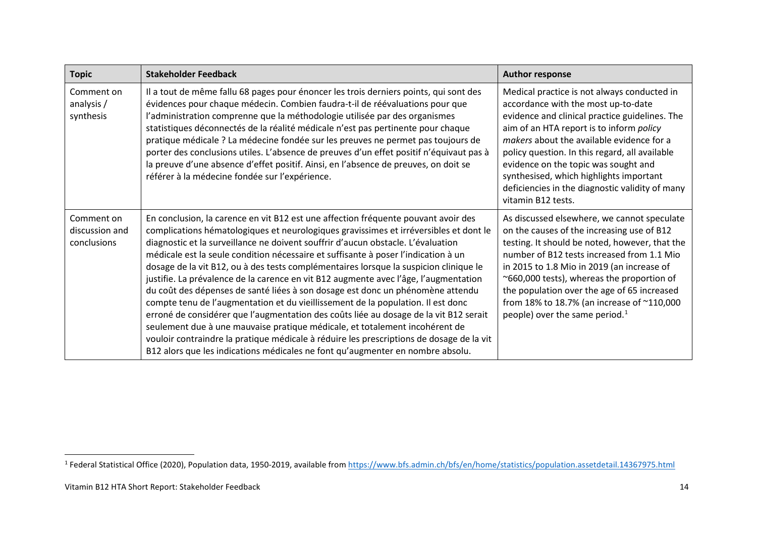<span id="page-13-0"></span>

| <b>Topic</b>                                | <b>Stakeholder Feedback</b>                                                                                                                                                                                                                                                                                                                                                                                                                                                                                                                                                                                                                                                                                                                                                                                                                                                                                                                                                                                                                                        | <b>Author response</b>                                                                                                                                                                                                                                                                                                                                                                                                                      |
|---------------------------------------------|--------------------------------------------------------------------------------------------------------------------------------------------------------------------------------------------------------------------------------------------------------------------------------------------------------------------------------------------------------------------------------------------------------------------------------------------------------------------------------------------------------------------------------------------------------------------------------------------------------------------------------------------------------------------------------------------------------------------------------------------------------------------------------------------------------------------------------------------------------------------------------------------------------------------------------------------------------------------------------------------------------------------------------------------------------------------|---------------------------------------------------------------------------------------------------------------------------------------------------------------------------------------------------------------------------------------------------------------------------------------------------------------------------------------------------------------------------------------------------------------------------------------------|
| Comment on<br>analysis /<br>synthesis       | Il a tout de même fallu 68 pages pour énoncer les trois derniers points, qui sont des<br>évidences pour chaque médecin. Combien faudra-t-il de réévaluations pour que<br>l'administration comprenne que la méthodologie utilisée par des organismes<br>statistiques déconnectés de la réalité médicale n'est pas pertinente pour chaque<br>pratique médicale ? La médecine fondée sur les preuves ne permet pas toujours de<br>porter des conclusions utiles. L'absence de preuves d'un effet positif n'équivaut pas à<br>la preuve d'une absence d'effet positif. Ainsi, en l'absence de preuves, on doit se<br>référer à la médecine fondée sur l'expérience.                                                                                                                                                                                                                                                                                                                                                                                                    | Medical practice is not always conducted in<br>accordance with the most up-to-date<br>evidence and clinical practice guidelines. The<br>aim of an HTA report is to inform policy<br>makers about the available evidence for a<br>policy question. In this regard, all available<br>evidence on the topic was sought and<br>synthesised, which highlights important<br>deficiencies in the diagnostic validity of many<br>vitamin B12 tests. |
| Comment on<br>discussion and<br>conclusions | En conclusion, la carence en vit B12 est une affection fréquente pouvant avoir des<br>complications hématologiques et neurologiques gravissimes et irréversibles et dont le<br>diagnostic et la surveillance ne doivent souffrir d'aucun obstacle. L'évaluation<br>médicale est la seule condition nécessaire et suffisante à poser l'indication à un<br>dosage de la vit B12, ou à des tests complémentaires lorsque la suspicion clinique le<br>justifie. La prévalence de la carence en vit B12 augmente avec l'âge, l'augmentation<br>du coût des dépenses de santé liées à son dosage est donc un phénomène attendu<br>compte tenu de l'augmentation et du vieillissement de la population. Il est donc<br>erroné de considérer que l'augmentation des coûts liée au dosage de la vit B12 serait<br>seulement due à une mauvaise pratique médicale, et totalement incohérent de<br>vouloir contraindre la pratique médicale à réduire les prescriptions de dosage de la vit<br>B12 alors que les indications médicales ne font qu'augmenter en nombre absolu. | As discussed elsewhere, we cannot speculate<br>on the causes of the increasing use of B12<br>testing. It should be noted, however, that the<br>number of B12 tests increased from 1.1 Mio<br>in 2015 to 1.8 Mio in 2019 (an increase of<br>~660,000 tests), whereas the proportion of<br>the population over the age of 65 increased<br>from 18% to 18.7% (an increase of ~110,000<br>people) over the same period. $1$                     |

<sup>&</sup>lt;sup>1</sup> Federal Statistical Office (2020), Population data, 1950-2019, available from<https://www.bfs.admin.ch/bfs/en/home/statistics/population.assetdetail.14367975.html>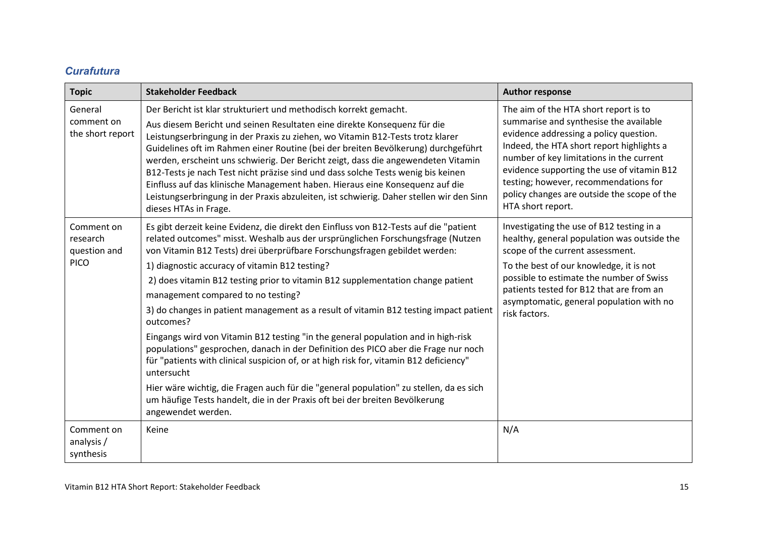#### *Curafutura*

<span id="page-14-0"></span>

| <b>Topic</b>                                          | <b>Stakeholder Feedback</b>                                                                                                                                                                                                                                                                                                                                                                                                                                                                                                                                                                                                                                                                                                                                                                                                                                                                                                                                                                                               | <b>Author response</b>                                                                                                                                                                                                                                                                                                                                                        |
|-------------------------------------------------------|---------------------------------------------------------------------------------------------------------------------------------------------------------------------------------------------------------------------------------------------------------------------------------------------------------------------------------------------------------------------------------------------------------------------------------------------------------------------------------------------------------------------------------------------------------------------------------------------------------------------------------------------------------------------------------------------------------------------------------------------------------------------------------------------------------------------------------------------------------------------------------------------------------------------------------------------------------------------------------------------------------------------------|-------------------------------------------------------------------------------------------------------------------------------------------------------------------------------------------------------------------------------------------------------------------------------------------------------------------------------------------------------------------------------|
| General<br>comment on<br>the short report             | Der Bericht ist klar strukturiert und methodisch korrekt gemacht.<br>Aus diesem Bericht und seinen Resultaten eine direkte Konsequenz für die<br>Leistungserbringung in der Praxis zu ziehen, wo Vitamin B12-Tests trotz klarer<br>Guidelines oft im Rahmen einer Routine (bei der breiten Bevölkerung) durchgeführt<br>werden, erscheint uns schwierig. Der Bericht zeigt, dass die angewendeten Vitamin<br>B12-Tests je nach Test nicht präzise sind und dass solche Tests wenig bis keinen<br>Einfluss auf das klinische Management haben. Hieraus eine Konsequenz auf die<br>Leistungserbringung in der Praxis abzuleiten, ist schwierig. Daher stellen wir den Sinn<br>dieses HTAs in Frage.                                                                                                                                                                                                                                                                                                                         | The aim of the HTA short report is to<br>summarise and synthesise the available<br>evidence addressing a policy question.<br>Indeed, the HTA short report highlights a<br>number of key limitations in the current<br>evidence supporting the use of vitamin B12<br>testing; however, recommendations for<br>policy changes are outside the scope of the<br>HTA short report. |
| Comment on<br>research<br>question and<br><b>PICO</b> | Es gibt derzeit keine Evidenz, die direkt den Einfluss von B12-Tests auf die "patient<br>related outcomes" misst. Weshalb aus der ursprünglichen Forschungsfrage (Nutzen<br>von Vitamin B12 Tests) drei überprüfbare Forschungsfragen gebildet werden:<br>1) diagnostic accuracy of vitamin B12 testing?<br>2) does vitamin B12 testing prior to vitamin B12 supplementation change patient<br>management compared to no testing?<br>3) do changes in patient management as a result of vitamin B12 testing impact patient<br>outcomes?<br>Eingangs wird von Vitamin B12 testing "in the general population and in high-risk<br>populations" gesprochen, danach in der Definition des PICO aber die Frage nur noch<br>für "patients with clinical suspicion of, or at high risk for, vitamin B12 deficiency"<br>untersucht<br>Hier wäre wichtig, die Fragen auch für die "general population" zu stellen, da es sich<br>um häufige Tests handelt, die in der Praxis oft bei der breiten Bevölkerung<br>angewendet werden. | Investigating the use of B12 testing in a<br>healthy, general population was outside the<br>scope of the current assessment.<br>To the best of our knowledge, it is not<br>possible to estimate the number of Swiss<br>patients tested for B12 that are from an<br>asymptomatic, general population with no<br>risk factors.                                                  |
| Comment on<br>analysis /<br>synthesis                 | Keine                                                                                                                                                                                                                                                                                                                                                                                                                                                                                                                                                                                                                                                                                                                                                                                                                                                                                                                                                                                                                     | N/A                                                                                                                                                                                                                                                                                                                                                                           |